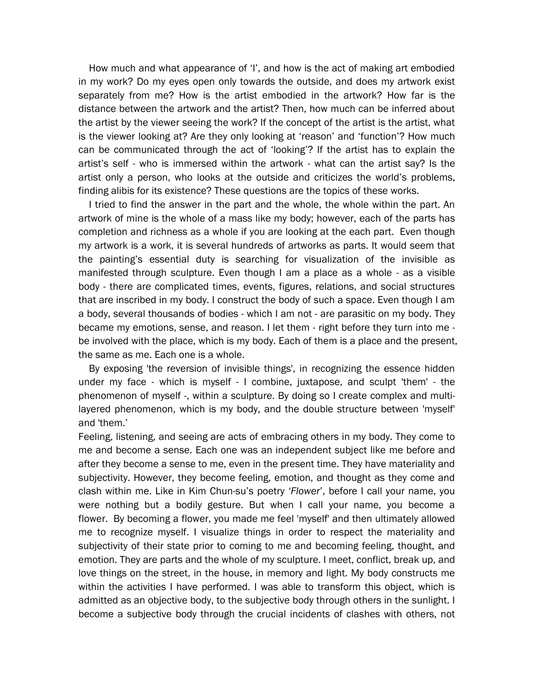How much and what appearance of 'I', and how is the act of making art embodied in my work? Do my eyes open only towards the outside, and does my artwork exist separately from me? How is the artist embodied in the artwork? How far is the distance between the artwork and the artist? Then, how much can be inferred about the artist by the viewer seeing the work? If the concept of the artist is the artist, what is the viewer looking at? Are they only looking at 'reason' and 'function'? How much can be communicated through the act of 'looking'? If the artist has to explain the artist's self - who is immersed within the artwork - what can the artist say? Is the artist only a person, who looks at the outside and criticizes the world's problems, finding alibis for its existence? These questions are the topics of these works.

I tried to find the answer in the part and the whole, the whole within the part. An artwork of mine is the whole of a mass like my body; however, each of the parts has completion and richness as a whole if you are looking at the each part. Even though my artwork is a work, it is several hundreds of artworks as parts. It would seem that the painting's essential duty is searching for visualization of the invisible as manifested through sculpture. Even though I am a place as a whole - as a visible body - there are complicated times, events, figures, relations, and social structures that are inscribed in my body. I construct the body of such a space. Even though I am a body, several thousands of bodies - which I am not - are parasitic on my body. They became my emotions, sense, and reason. I let them - right before they turn into me be involved with the place, which is my body. Each of them is a place and the present, the same as me. Each one is a whole.

By exposing 'the reversion of invisible things', in recognizing the essence hidden under my face - which is myself - I combine, juxtapose, and sculpt 'them' - the phenomenon of myself -, within a sculpture. By doing so I create complex and multilayered phenomenon, which is my body, and the double structure between 'myself' and 'them.'

Feeling, listening, and seeing are acts of embracing others in my body. They come to me and become a sense. Each one was an independent subject like me before and after they become a sense to me, even in the present time. They have materiality and subjectivity. However, they become feeling, emotion, and thought as they come and clash within me. Like in [Kim Chun-su](http://endic.naver.com/enkrEntry.nhn?entryId=6d8f99d9b2f84ee2add6231e1a17eef0&query=%EA%B9%80%EC%B6%98%EC%88%98)'s poetry *'Flower*', before I call your name, you were nothing but a bodily gesture. But when I call your name, you become a flower. By becoming a flower, you made me feel 'myself' and then ultimately allowed me to recognize myself. I visualize things in order to respect the materiality and subjectivity of their state prior to coming to me and becoming feeling, thought, and emotion. They are parts and the whole of my sculpture. I meet, conflict, break up, and love things on the street, in the house, in memory and light. My body constructs me within the activities I have performed. I was able to transform this object, which is admitted as an objective body, to the subjective body through others in the sunlight. I become a subjective body through the crucial incidents of clashes with others, not